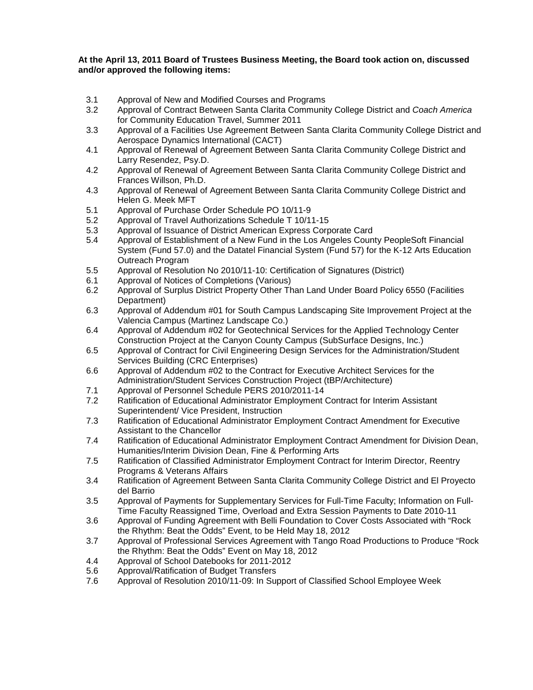## **At the April 13, 2011 Board of Trustees Business Meeting, the Board took action on, discussed and/or approved the following items:**

- 3.1 Approval of New and Modified Courses and Programs
- 3.2 Approval of Contract Between Santa Clarita Community College District and *Coach America*  for Community Education Travel, Summer 2011
- 3.3 Approval of a Facilities Use Agreement Between Santa Clarita Community College District and Aerospace Dynamics International (CACT)
- 4.1 Approval of Renewal of Agreement Between Santa Clarita Community College District and Larry Resendez, Psy.D.
- 4.2 Approval of Renewal of Agreement Between Santa Clarita Community College District and Frances Willson, Ph.D.
- 4.3 Approval of Renewal of Agreement Between Santa Clarita Community College District and Helen G. Meek MFT
- 5.1 Approval of Purchase Order Schedule PO 10/11-9
- 5.2 Approval of Travel Authorizations Schedule T 10/11-15
- 5.3 Approval of Issuance of District American Express Corporate Card<br>5.4 Approval of Establishment of a New Fund in the Los Angeles Count
- 5.4 Approval of Establishment of a New Fund in the Los Angeles County PeopleSoft Financial System (Fund 57.0) and the Datatel Financial System (Fund 57) for the K-12 Arts Education Outreach Program
- 5.5 Approval of Resolution No 2010/11-10: Certification of Signatures (District)
- 6.1 Approval of Notices of Completions (Various)
- 6.2 Approval of Surplus District Property Other Than Land Under Board Policy 6550 (Facilities Department)
- 6.3 Approval of Addendum #01 for South Campus Landscaping Site Improvement Project at the Valencia Campus (Martinez Landscape Co.)
- 6.4 Approval of Addendum #02 for Geotechnical Services for the Applied Technology Center Construction Project at the Canyon County Campus (SubSurface Designs, Inc.)
- 6.5 Approval of Contract for Civil Engineering Design Services for the Administration/Student Services Building (CRC Enterprises)
- 6.6 Approval of Addendum #02 to the Contract for Executive Architect Services for the Administration/Student Services Construction Project (tBP/Architecture)
- 7.1 Approval of Personnel Schedule PERS 2010/2011-14
- 7.2 Ratification of Educational Administrator Employment Contract for Interim Assistant Superintendent/ Vice President, Instruction
- 7.3 Ratification of Educational Administrator Employment Contract Amendment for Executive Assistant to the Chancellor
- 7.4 Ratification of Educational Administrator Employment Contract Amendment for Division Dean, Humanities/Interim Division Dean, Fine & Performing Arts
- 7.5 Ratification of Classified Administrator Employment Contract for Interim Director, Reentry Programs & Veterans Affairs
- 3.4 Ratification of Agreement Between Santa Clarita Community College District and El Proyecto del Barrio
- 3.5 Approval of Payments for Supplementary Services for Full-Time Faculty; Information on Full-Time Faculty Reassigned Time, Overload and Extra Session Payments to Date 2010-11
- 3.6 Approval of Funding Agreement with Belli Foundation to Cover Costs Associated with "Rock the Rhythm: Beat the Odds" Event, to be Held May 18, 2012
- 3.7 Approval of Professional Services Agreement with Tango Road Productions to Produce "Rock the Rhythm: Beat the Odds" Event on May 18, 2012
- 4.4 Approval of School Datebooks for 2011-2012<br>5.6 Approval/Ratification of Budget Transfers
- 5.6 Approval/Ratification of Budget Transfers
- 7.6 Approval of Resolution 2010/11-09: In Support of Classified School Employee Week